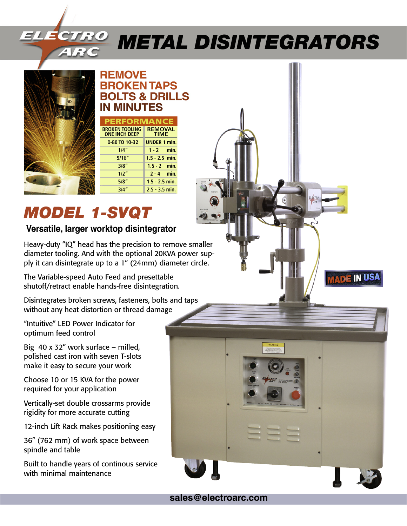# *Metal Disintegrators*



#### **REMOVE BROKEN TAPS BOLTS & DRILLS IN MINUTES**

| PERFORMANCE                   |
|-------------------------------|
| <b>REMOVAL</b><br><b>TIME</b> |
| <b>UNDER 1 min.</b>           |
| $1 - 2$ min.                  |
| $1.5 - 2.5$ min.              |
| $1.5 - 2$ min.                |
| $2 - 4$ min.                  |
| $1.5 - 2.5$ min.              |
| $2.5 - 3.5$ min.              |
|                               |

# *MODEL 1-SVQT*

#### **Versatile, larger worktop disintegrator**

Heavy-duty "IQ" head has the precision to remove smaller diameter tooling. And with the optional 20KVA power supply it can disintegrate up to a 1" (24mm) diameter circle.

The Variable-speed Auto Feed and presettable shutoff/retract enable hands-free disintegration.

Disintegrates broken screws, fasteners, bolts and taps without any heat distortion or thread damage

"Intuitive" LED Power Indicator for optimum feed control

Big 40 x 32" work surface – milled, polished cast iron with seven T-slots make it easy to secure your work

Choose 10 or 15 KVA for the power required for your application

Vertically-set double crossarms provide rigidity for more accurate cutting

12-inch Lift Rack makes positioning easy

36" (762 mm) of work space between spindle and table

Built to handle years of continous service with minimal maintenance